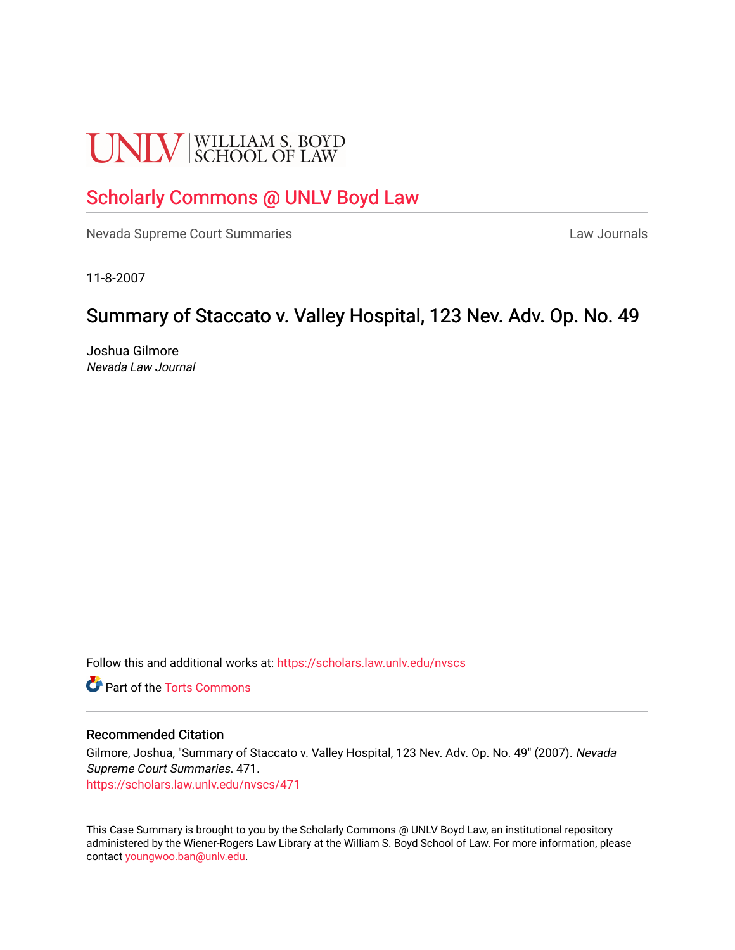# **UNLV** SCHOOL OF LAW

# [Scholarly Commons @ UNLV Boyd Law](https://scholars.law.unlv.edu/)

[Nevada Supreme Court Summaries](https://scholars.law.unlv.edu/nvscs) **Law Journals** Law Journals

11-8-2007

## Summary of Staccato v. Valley Hospital, 123 Nev. Adv. Op. No. 49

Joshua Gilmore Nevada Law Journal

Follow this and additional works at: [https://scholars.law.unlv.edu/nvscs](https://scholars.law.unlv.edu/nvscs?utm_source=scholars.law.unlv.edu%2Fnvscs%2F471&utm_medium=PDF&utm_campaign=PDFCoverPages)

**C** Part of the [Torts Commons](http://network.bepress.com/hgg/discipline/913?utm_source=scholars.law.unlv.edu%2Fnvscs%2F471&utm_medium=PDF&utm_campaign=PDFCoverPages)

#### Recommended Citation

Gilmore, Joshua, "Summary of Staccato v. Valley Hospital, 123 Nev. Adv. Op. No. 49" (2007). Nevada Supreme Court Summaries. 471. [https://scholars.law.unlv.edu/nvscs/471](https://scholars.law.unlv.edu/nvscs/471?utm_source=scholars.law.unlv.edu%2Fnvscs%2F471&utm_medium=PDF&utm_campaign=PDFCoverPages)

This Case Summary is brought to you by the Scholarly Commons @ UNLV Boyd Law, an institutional repository administered by the Wiener-Rogers Law Library at the William S. Boyd School of Law. For more information, please contact [youngwoo.ban@unlv.edu](mailto:youngwoo.ban@unlv.edu).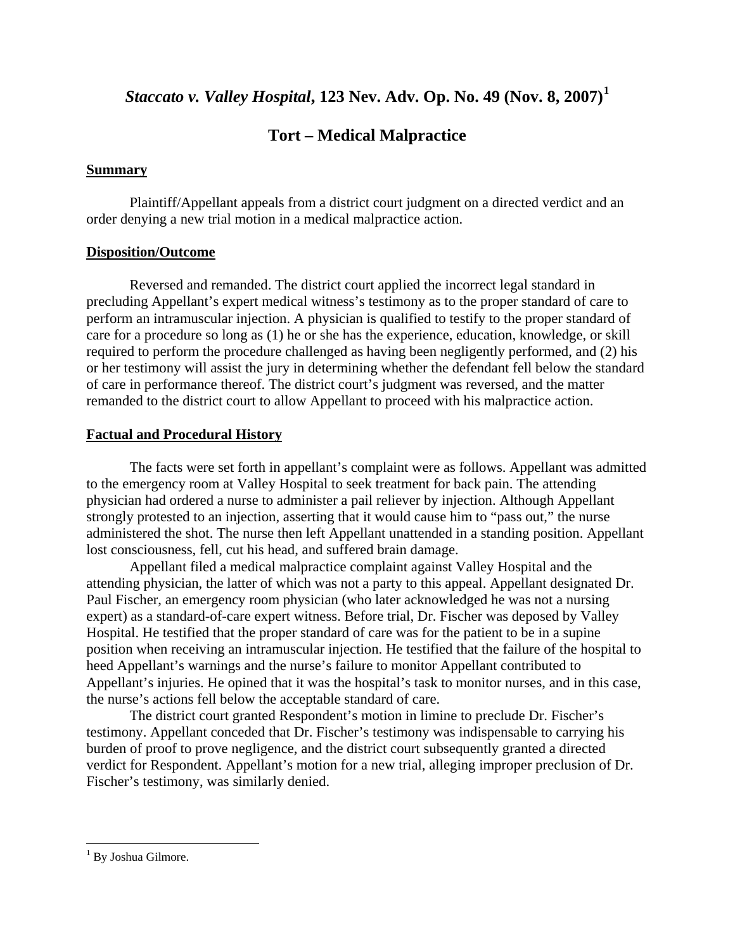## *Staccato v. Valley Hospital***, 123 Nev. Adv. Op. No. 49 (Nov. 8, 2007)[1](#page-1-0)**

## **Tort – Medical Malpractice**

#### **Summary**

 Plaintiff/Appellant appeals from a district court judgment on a directed verdict and an order denying a new trial motion in a medical malpractice action.

#### **Disposition/Outcome**

 Reversed and remanded. The district court applied the incorrect legal standard in precluding Appellant's expert medical witness's testimony as to the proper standard of care to perform an intramuscular injection. A physician is qualified to testify to the proper standard of care for a procedure so long as (1) he or she has the experience, education, knowledge, or skill required to perform the procedure challenged as having been negligently performed, and (2) his or her testimony will assist the jury in determining whether the defendant fell below the standard of care in performance thereof. The district court's judgment was reversed, and the matter remanded to the district court to allow Appellant to proceed with his malpractice action.

#### **Factual and Procedural History**

 The facts were set forth in appellant's complaint were as follows. Appellant was admitted to the emergency room at Valley Hospital to seek treatment for back pain. The attending physician had ordered a nurse to administer a pail reliever by injection. Although Appellant strongly protested to an injection, asserting that it would cause him to "pass out," the nurse administered the shot. The nurse then left Appellant unattended in a standing position. Appellant lost consciousness, fell, cut his head, and suffered brain damage.

 Appellant filed a medical malpractice complaint against Valley Hospital and the attending physician, the latter of which was not a party to this appeal. Appellant designated Dr. Paul Fischer, an emergency room physician (who later acknowledged he was not a nursing expert) as a standard-of-care expert witness. Before trial, Dr. Fischer was deposed by Valley Hospital. He testified that the proper standard of care was for the patient to be in a supine position when receiving an intramuscular injection. He testified that the failure of the hospital to heed Appellant's warnings and the nurse's failure to monitor Appellant contributed to Appellant's injuries. He opined that it was the hospital's task to monitor nurses, and in this case, the nurse's actions fell below the acceptable standard of care.

 The district court granted Respondent's motion in limine to preclude Dr. Fischer's testimony. Appellant conceded that Dr. Fischer's testimony was indispensable to carrying his burden of proof to prove negligence, and the district court subsequently granted a directed verdict for Respondent. Appellant's motion for a new trial, alleging improper preclusion of Dr. Fischer's testimony, was similarly denied.

 $\overline{a}$ 

<span id="page-1-0"></span><sup>&</sup>lt;sup>1</sup> By Joshua Gilmore.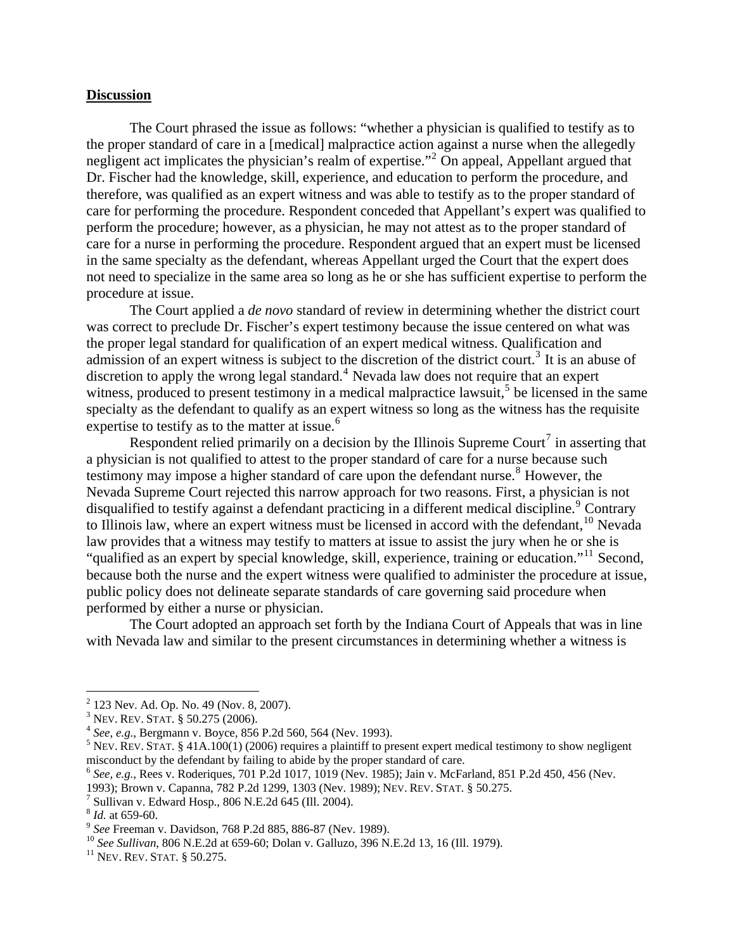#### **Discussion**

The Court phrased the issue as follows: "whether a physician is qualified to testify as to the proper standard of care in a [medical] malpractice action against a nurse when the allegedly negligent act implicates the physician's realm of expertise."<sup>[2](#page-2-0)</sup> On appeal, Appellant argued that Dr. Fischer had the knowledge, skill, experience, and education to perform the procedure, and therefore, was qualified as an expert witness and was able to testify as to the proper standard of care for performing the procedure. Respondent conceded that Appellant's expert was qualified to perform the procedure; however, as a physician, he may not attest as to the proper standard of care for a nurse in performing the procedure. Respondent argued that an expert must be licensed in the same specialty as the defendant, whereas Appellant urged the Court that the expert does not need to specialize in the same area so long as he or she has sufficient expertise to perform the procedure at issue.

The Court applied a *de novo* standard of review in determining whether the district court was correct to preclude Dr. Fischer's expert testimony because the issue centered on what was the proper legal standard for qualification of an expert medical witness. Qualification and admission of an expert witness is subject to the discretion of the district court.<sup>[3](#page-2-1)</sup> It is an abuse of discretion to apply the wrong legal standard.<sup>[4](#page-2-2)</sup> Nevada law does not require that an expert witness, produced to present testimony in a medical malpractice lawsuit,<sup>[5](#page-2-3)</sup> be licensed in the same specialty as the defendant to qualify as an expert witness so long as the witness has the requisite expertise to testify as to the matter at issue.<sup>[6](#page-2-4)</sup>

Respondent relied primarily on a decision by the Illinois Supreme Court<sup>[7](#page-2-5)</sup> in asserting that a physician is not qualified to attest to the proper standard of care for a nurse because such testimony may impose a higher standard of care upon the defendant nurse.<sup>[8](#page-2-6)</sup> However, the Nevada Supreme Court rejected this narrow approach for two reasons. First, a physician is not disqualified to testify against a defendant practicing in a different medical discipline.<sup>[9](#page-2-7)</sup> Contrary to Illinois law, where an expert witness must be licensed in accord with the defendant,  $10$  Nevada law provides that a witness may testify to matters at issue to assist the jury when he or she is "qualified as an expert by special knowledge, skill, experience, training or education."[11](#page-2-9) Second, because both the nurse and the expert witness were qualified to administer the procedure at issue, public policy does not delineate separate standards of care governing said procedure when performed by either a nurse or physician.

The Court adopted an approach set forth by the Indiana Court of Appeals that was in line with Nevada law and similar to the present circumstances in determining whether a witness is

1

 $2$  123 Nev. Ad. Op. No. 49 (Nov. 8, 2007).

<span id="page-2-1"></span><span id="page-2-0"></span> $3$  Nev. Rev. Stat. § 50.275 (2006).

<span id="page-2-2"></span><sup>&</sup>lt;sup>4</sup> See, e.g., Bergmann v. Boyce, 856 P.2d 560, 564 (Nev. 1993).

<span id="page-2-3"></span><sup>&</sup>lt;sup>5</sup> NEV. REV. STAT. § 41A.100(1) (2006) requires a plaintiff to present expert medical testimony to show negligent misconduct by the defendant by failing to abide by the proper standard of care.

<span id="page-2-4"></span><sup>6</sup> *See, e.g.*, Rees v. Roderiques, 701 P.2d 1017, 1019 (Nev. 1985); Jain v. McFarland, 851 P.2d 450, 456 (Nev.

<sup>1993);</sup> Brown v. Capanna, 782 P.2d 1299, 1303 (Nev. 1989); NEV. REV. STAT. § 50.275. 7

<span id="page-2-5"></span> $\frac{7}{8}$  Sullivan v. Edward Hosp., 806 N.E.2d 645 (Ill. 2004).  $\frac{8}{4}$  *Id.* at 659-60.

<span id="page-2-8"></span><span id="page-2-7"></span><span id="page-2-6"></span><sup>&</sup>lt;sup>9</sup> *See* Freeman v. Davidson, 768 P.2d 885, 886-87 (Nev. 1989). <sup>10</sup> *See Sullivan*, 806 N.E.2d at 659-60; Dolan v. Galluzo, 396 N.E.2d 13, 16 (Ill. 1979). <sup>11</sup> NEV. REV. STAT. § 50.275.

<span id="page-2-9"></span>